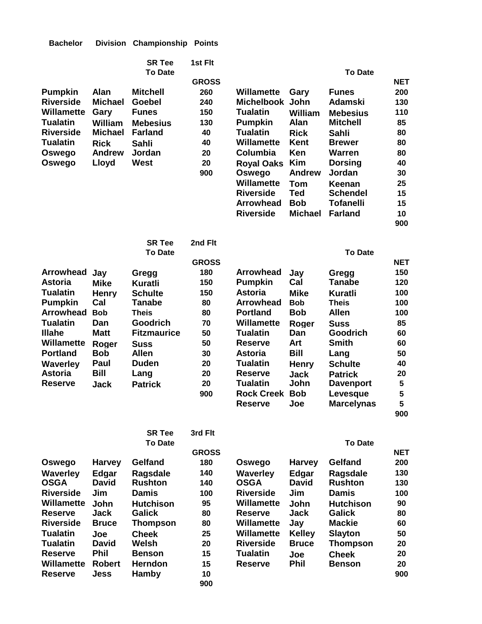| <b>Bachelor</b> |  | Division Championship Points |  |
|-----------------|--|------------------------------|--|
|-----------------|--|------------------------------|--|

|                                |                       | <b>SR Tee</b>                     | 1st Fit      |                                       |                             |                                     |            |
|--------------------------------|-----------------------|-----------------------------------|--------------|---------------------------------------|-----------------------------|-------------------------------------|------------|
|                                |                       | <b>To Date</b>                    |              |                                       |                             | <b>To Date</b>                      |            |
|                                |                       |                                   | <b>GROSS</b> |                                       |                             |                                     | <b>NET</b> |
| <b>Pumpkin</b>                 | <b>Alan</b>           | <b>Mitchell</b>                   | 260          | <b>Willamette</b>                     | Gary                        | <b>Funes</b>                        | 200        |
| <b>Riverside</b>               | <b>Michael</b>        | <b>Goebel</b>                     | 240          | <b>Michelbook</b>                     | John                        | <b>Adamski</b>                      | 130        |
| <b>Willamette</b>              | Gary                  | <b>Funes</b>                      | 150          | <b>Tualatin</b>                       | William                     | <b>Mebesius</b>                     | 110        |
| <b>Tualatin</b>                | William               | <b>Mebesius</b>                   | 130          | <b>Pumpkin</b>                        | Alan                        | <b>Mitchell</b>                     | 85         |
| <b>Riverside</b>               | <b>Michael</b>        | <b>Farland</b>                    | 40           | <b>Tualatin</b>                       | <b>Rick</b>                 | <b>Sahli</b>                        | 80         |
| Tualatin                       | <b>Rick</b>           | <b>Sahli</b>                      | 40           | Willamette                            | <b>Kent</b>                 | <b>Brewer</b>                       | 80         |
| Oswego                         | <b>Andrew</b>         | Jordan                            | 20           | Columbia                              | Ken                         | <b>Warren</b>                       | 80         |
| Oswego                         | Lloyd                 | <b>West</b>                       | 20<br>900    | <b>Royal Oaks</b>                     | <b>Kim</b><br><b>Andrew</b> | <b>Dorsing</b><br>Jordan            | 40         |
|                                |                       |                                   |              | Oswego                                |                             |                                     | 30         |
|                                |                       |                                   |              | <b>Willamette</b><br><b>Riverside</b> | <b>Tom</b><br><b>Ted</b>    | Keenan                              | 25         |
|                                |                       |                                   |              | <b>Arrowhead</b>                      | <b>Bob</b>                  | <b>Schendel</b><br><b>Tofanelli</b> | 15         |
|                                |                       |                                   |              | <b>Riverside</b>                      | <b>Michael</b>              | <b>Farland</b>                      | 15         |
|                                |                       |                                   |              |                                       |                             |                                     | 10<br>900  |
|                                |                       |                                   |              |                                       |                             |                                     |            |
|                                |                       | <b>SR Tee</b>                     | 2nd Flt      |                                       |                             |                                     |            |
|                                |                       | <b>To Date</b>                    |              |                                       |                             | <b>To Date</b>                      |            |
|                                |                       |                                   | <b>GROSS</b> |                                       |                             |                                     | <b>NET</b> |
| <b>Arrowhead</b>               | Jay                   | Gregg                             | 180          | <b>Arrowhead</b>                      | Jay                         | Gregg                               | 150        |
| <b>Astoria</b>                 | <b>Mike</b>           | Kuratli                           | 150          | <b>Pumpkin</b>                        | Cal                         | <b>Tanabe</b>                       | 120        |
| <b>Tualatin</b>                | <b>Henry</b>          | <b>Schulte</b>                    | 150          | <b>Astoria</b>                        | <b>Mike</b>                 | <b>Kuratli</b>                      | 100        |
| <b>Pumpkin</b>                 | Cal                   | <b>Tanabe</b>                     | 80           | <b>Arrowhead</b>                      | <b>Bob</b>                  | <b>Theis</b>                        | 100        |
| <b>Arrowhead</b>               | <b>Bob</b>            | <b>Theis</b>                      | 80           | <b>Portland</b>                       | <b>Bob</b>                  | <b>Allen</b>                        | 100        |
| <b>Tualatin</b>                | Dan                   | Goodrich                          | 70           | Willamette                            | Roger                       | <b>Suss</b>                         | 85         |
| <b>Illahe</b>                  | <b>Matt</b>           | <b>Fitzmaurice</b>                | 50           | <b>Tualatin</b>                       | Dan                         | <b>Goodrich</b>                     | 60         |
| Willamette                     | Roger                 | <b>Suss</b>                       | 50           | <b>Reserve</b>                        | Art                         | <b>Smith</b>                        | 60         |
| <b>Portland</b>                | <b>Bob</b>            | <b>Allen</b>                      | 30           | <b>Astoria</b>                        | <b>Bill</b>                 | Lang                                | 50         |
| <b>Waverley</b>                | Paul                  | <b>Duden</b>                      | 20           | <b>Tualatin</b>                       | <b>Henry</b>                | <b>Schulte</b>                      | 40         |
| <b>Astoria</b>                 | <b>Bill</b>           | Lang                              | 20           | <b>Reserve</b>                        | <b>Jack</b>                 | <b>Patrick</b>                      | 20         |
| <b>Reserve</b>                 | Jack                  | <b>Patrick</b>                    | 20           | <b>Tualatin</b>                       | John                        | <b>Davenport</b>                    | 5          |
|                                |                       |                                   | 900          | <b>Rock Creek</b>                     | <b>Bob</b>                  | Levesque                            | 5          |
|                                |                       |                                   |              | <b>Reserve</b>                        | Joe                         | <b>Marcelynas</b>                   | 5          |
|                                |                       |                                   |              |                                       |                             |                                     | 900        |
|                                |                       |                                   |              |                                       |                             |                                     |            |
|                                |                       | <b>SR Tee</b><br><b>To Date</b>   | 3rd Flt      |                                       |                             | <b>To Date</b>                      |            |
|                                |                       |                                   | <b>GROSS</b> |                                       |                             |                                     | <b>NET</b> |
|                                | <b>Harvey</b>         | Gelfand                           | 180          |                                       |                             | <b>Gelfand</b>                      | 200        |
| Oswego                         |                       |                                   | 140          | Oswego                                | <b>Harvey</b>               |                                     | 130        |
| <b>Waverley</b><br><b>OSGA</b> | Edgar<br><b>David</b> | <b>Ragsdale</b><br><b>Rushton</b> | 140          | Waverley<br><b>OSGA</b>               | Edgar<br><b>David</b>       | <b>Ragsdale</b><br><b>Rushton</b>   | 130        |
| <b>Riverside</b>               | Jim                   | <b>Damis</b>                      | 100          | <b>Riverside</b>                      | Jim                         | <b>Damis</b>                        | 100        |
| <b>Willamette</b>              | John                  | <b>Hutchison</b>                  | 95           | Willamette                            | <b>John</b>                 | <b>Hutchison</b>                    | 90         |
| <b>Reserve</b>                 | <b>Jack</b>           | <b>Galick</b>                     | 80           | <b>Reserve</b>                        | <b>Jack</b>                 | <b>Galick</b>                       | 80         |
| <b>Riverside</b>               | <b>Bruce</b>          | <b>Thompson</b>                   | 80           | Willamette                            | Jay                         | <b>Mackie</b>                       | 60         |
| <b>Tualatin</b>                | Joe                   | <b>Cheek</b>                      | 25           | <b>Willamette</b>                     | <b>Kelley</b>               | <b>Slayton</b>                      | 50         |
| <b>Tualatin</b>                | <b>David</b>          | Welsh                             | 20           | <b>Riverside</b>                      | <b>Bruce</b>                | <b>Thompson</b>                     | 20         |
| <b>Reserve</b>                 | <b>Phil</b>           | <b>Benson</b>                     | 15           | <b>Tualatin</b>                       | Joe                         | <b>Cheek</b>                        | 20         |
| <b>Willamette</b>              | <b>Robert</b>         | <b>Herndon</b>                    | 15           | <b>Reserve</b>                        | <b>Phil</b>                 | <b>Benson</b>                       | 20         |
| <b>Reserve</b>                 | <b>Jess</b>           | <b>Hamby</b>                      | 10           |                                       |                             |                                     | 900        |
|                                |                       |                                   |              |                                       |                             |                                     |            |

**900**